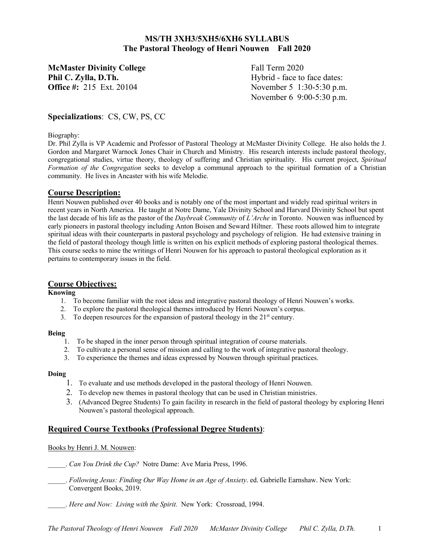# **MS/TH 3XH3/5XH5/6XH6 SYLLABUS The Pastoral Theology of Henri Nouwen Fall 2020**

**McMaster Divinity College** Fall Term 2020 **Phil C. Zylla, D.Th.** Hybrid - face to face dates:

**Office #:** 215 Ext. 20104 November 5 1:30-5:30 p.m. November 6 9:00-5:30 p.m.

# **Specializations**: CS, CW, PS, CC

#### Biography:

Dr. Phil Zylla is VP Academic and Professor of Pastoral Theology at McMaster Divinity College. He also holds the J. Gordon and Margaret Warnock Jones Chair in Church and Ministry. His research interests include pastoral theology, congregational studies, virtue theory, theology of suffering and Christian spirituality. His current project, *Spiritual Formation of the Congregation* seeks to develop a communal approach to the spiritual formation of a Christian community. He lives in Ancaster with his wife Melodie.

# **Course Description:**

Henri Nouwen published over 40 books and is notably one of the most important and widely read spiritual writers in recent years in North America. He taught at Notre Dame, Yale Divinity School and Harvard Divinity School but spent the last decade of his life as the pastor of the *Daybreak Community* of *L'Arche* in Toronto. Nouwen was influenced by early pioneers in pastoral theology including Anton Boisen and Seward Hiltner. These roots allowed him to integrate spiritual ideas with their counterparts in pastoral psychology and psychology of religion. He had extensive training in the field of pastoral theology though little is written on his explicit methods of exploring pastoral theological themes. This course seeks to mine the writings of Henri Nouwen for his approach to pastoral theological exploration as it pertains to contemporary issues in the field.

# **Course Objectives:**

# **Knowing**

- 1. To become familiar with the root ideas and integrative pastoral theology of Henri Nouwen's works.
- 2. To explore the pastoral theological themes introduced by Henri Nouwen's corpus.
- 3. To deepen resources for the expansion of pastoral theology in the  $21<sup>st</sup>$  century.

# **Being**

- 1. To be shaped in the inner person through spiritual integration of course materials.
- 2. To cultivate a personal sense of mission and calling to the work of integrative pastoral theology.
- 3. To experience the themes and ideas expressed by Nouwen through spiritual practices.

# **Doing**

- 1. To evaluate and use methods developed in the pastoral theology of Henri Nouwen.
- 2. To develop new themes in pastoral theology that can be used in Christian ministries.
- 3. (Advanced Degree Students) To gain facility in research in the field of pastoral theology by exploring Henri Nouwen's pastoral theological approach.

# **Required Course Textbooks (Professional Degree Students)**:

# Books by Henri J. M. Nouwen:

- \_\_\_\_\_. *Can You Drink the Cup?* Notre Dame: Ave Maria Press, 1996.
- \_\_\_\_\_. *Following Jesus: Finding Our Way Home in an Age of Anxiety*. ed. Gabrielle Earnshaw. New York: Convergent Books, 2019.
- \_\_\_\_\_. *Here and Now: Living with the Spirit.* New York: Crossroad, 1994.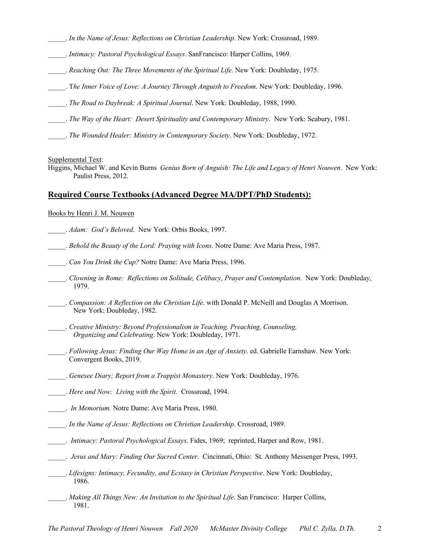- \_\_\_\_\_. *In the Name of Jesus: Reflections on Christian Leadership*. New York: Crossroad, 1989.
- \_\_\_\_\_. *Intimacy: Pastoral Psychological Essays*. SanFrancisco: Harper Collins, 1969.
- \_\_\_\_\_. *Reaching Out: The Three Movements of the Spiritual Life*. New York: Doubleday, 1975.
- \_\_\_\_\_. T*he Inner Voice of Love: A Journey Through Anguish to Freedom*. New York: Doubleday, 1996.
- \_\_\_\_\_. *The Road to Daybreak: A Spiritual Journal*. New York: Doubleday, 1988, 1990.
- \_\_\_\_\_. *The Way of the Heart: Desert Spirituality and Contemporary Ministry*. New York: Seabury, 1981.
- \_\_\_\_\_. *The Wounded Healer: Ministry in Contemporary Society*. New York: Doubleday, 1972.

Supplemental Text:

Higgins, Michael W. and Kevin Burns *Genius Born of Anguish: The Life and Legacy of Henri Nouwen*. New York: Paulist Press, 2012.

#### **Required Course Textbooks (Advanced Degree MA/DPT/PhD Students):**

#### Books by Henri J. M. Nouwen

- \_\_\_\_\_. *Adam: God's Beloved*. New York: Orbis Books, 1997.
- \_\_\_\_\_. *Behold the Beauty of the Lord: Praying with Icons*. Notre Dame: Ave Maria Press, 1987.
- \_\_\_\_\_. *Can You Drink the Cup?* Notre Dame: Ave Maria Press, 1996.
- \_\_\_\_\_. *Clowning in Rome: Reflections on Solitude, Celibacy, Prayer and Contemplation*. New York: Doubleday, 1979.
- \_\_\_\_\_. *Compassion: A Reflection on the Christian Life*. with Donald P. McNeill and Douglas A Morrison. New York: Doubleday, 1982.
- \_\_\_\_\_. *Creative Ministry: Beyond Professionalism in Teaching, Preaching, Counseling, Organizing and Celebrating*. New York: Doubleday, 1971.
- \_\_\_\_\_. *Following Jesus: Finding Our Way Home in an Age of Anxiety*. ed. Gabrielle Earnshaw. New York: Convergent Books, 2019.
- \_\_\_\_\_. *Genesee Diary; Report from a Trappist Monastery*. New York: Doubleday, 1976.
- \_\_\_\_\_. *Here and Now: Living with the Spirit.* Crossroad, 1994.
- \_\_\_\_\_. *In Memorium.* Notre Dame: Ave Maria Press, 1980.
- \_\_\_\_\_. *In the Name of Jesus: Reflections on Christian Leadership*. Crossroad, 1989.
- \_\_\_\_\_. *Intimacy: Pastoral Psychological Essays*. Fides, 1969; reprinted, Harper and Row, 1981.
- \_\_\_\_\_. *Jesus and Mary: Finding Our Sacred Center*. Cincinnati, Ohio: St. Anthony Messenger Press, 1993.
- \_\_\_\_\_. *Lifesigns: Intimacy, Fecundity, and Ecstasy in Christian Perspective*. New York: Doubleday, 1986.
	- \_\_\_\_\_. *Making All Things New: An Invitation to the Spiritual Life*. San Francisco: Harper Collins, 1981.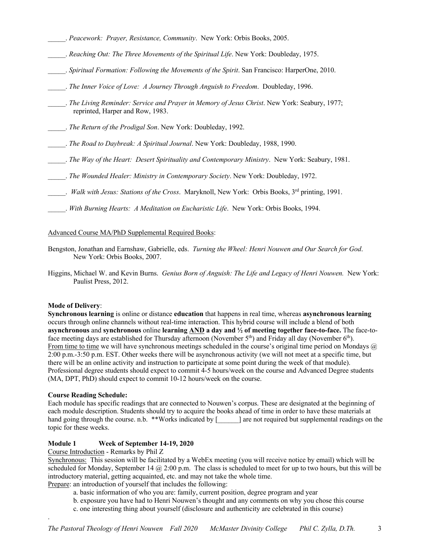- \_\_\_\_\_. *Peacework: Prayer, Resistance, Community*. New York: Orbis Books, 2005.
- \_\_\_\_\_. *Reaching Out: The Three Movements of the Spiritual Life*. New York: Doubleday, 1975.
- \_\_\_\_\_. *Spiritual Formation: Following the Movements of the Spirit*. San Francisco: HarperOne, 2010.
- \_\_\_\_\_. *The Inner Voice of Love: A Journey Through Anguish to Freedom*. Doubleday, 1996.
- \_\_\_\_\_. *The Living Reminder: Service and Prayer in Memory of Jesus Christ*. New York: Seabury, 1977; reprinted, Harper and Row, 1983.
- \_\_\_\_\_. *The Return of the Prodigal Son*. New York: Doubleday, 1992.
- \_\_\_\_\_. *The Road to Daybreak: A Spiritual Journal*. New York: Doubleday, 1988, 1990.
- \_\_\_\_\_. *The Way of the Heart: Desert Spirituality and Contemporary Ministry*. New York: Seabury, 1981.
- \_\_\_\_\_. *The Wounded Healer: Ministry in Contemporary Society*. New York: Doubleday, 1972.
- \_\_\_\_\_. *Walk with Jesus: Stations of the Cross*. Maryknoll, New York: Orbis Books, 3rd printing, 1991.
- \_\_\_\_\_. *With Burning Hearts: A Meditation on Eucharistic Life*. New York: Orbis Books, 1994.

#### Advanced Course MA/PhD Supplemental Required Books:

- Bengston, Jonathan and Earnshaw, Gabrielle, eds. *Turning the Wheel: Henri Nouwen and Our Search for God*. New York: Orbis Books, 2007.
- Higgins, Michael W. and Kevin Burns. *Genius Born of Anguish: The Life and Legacy of Henri Nouwen.* New York: Paulist Press, 2012.

#### **Mode of Delivery**:

**Synchronous learning** is online or distance **education** that happens in real time, whereas **asynchronous learning** occurs through online channels without real-time interaction. This hybrid course will include a blend of both **asynchronous** and **synchronous** online **learning AND a day and ½ of meeting together face-to-face.** The face-toface meeting days are established for Thursday afternoon (November  $5<sup>th</sup>$ ) and Friday all day (November  $6<sup>th</sup>$ ). From time to time we will have synchronous meetings scheduled in the course's original time period on Mondays  $\omega$ 2:00 p.m.-3:50 p.m. EST. Other weeks there will be asynchronous activity (we will not meet at a specific time, but there will be an online activity and instruction to participate at some point during the week of that module). Professional degree students should expect to commit 4-5 hours/week on the course and Advanced Degree students (MA, DPT, PhD) should expect to commit 10-12 hours/week on the course.

#### **Course Reading Schedule:**

.

Each module has specific readings that are connected to Nouwen's corpus. These are designated at the beginning of each module description. Students should try to acquire the books ahead of time in order to have these materials at hand going through the course. n.b. \*\*Works indicated by [ ] are not required but supplemental readings on the topic for these weeks.

#### **Module 1 Week of September 14-19, 2020**

Course Introduction - Remarks by Phil Z

Synchronous: This session will be facilitated by a WebEx meeting (you will receive notice by email) which will be scheduled for Monday, September 14 @ 2:00 p.m. The class is scheduled to meet for up to two hours, but this will be introductory material, getting acquainted, etc. and may not take the whole time. Prepare: an introduction of yourself that includes the following:

- a. basic information of who you are: family, current position, degree program and year
- b. exposure you have had to Henri Nouwen's thought and any comments on why you chose this course
- c. one interesting thing about yourself (disclosure and authenticity are celebrated in this course)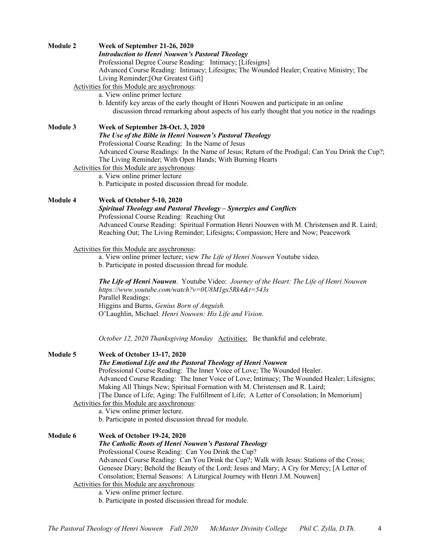| <b>Module 2</b>                                                                                                                        |  | Week of September 21-26, 2020<br><b>Introduction to Henri Nouwen's Pastoral Theology</b><br>Professional Degree Course Reading: Intimacy; [Lifesigns]<br>Advanced Course Reading: Intimacy; Lifesigns; The Wounded Healer; Creative Ministry; The<br>Living Reminder; [Our Greatest Gift]<br>Activities for this Module are asychronous:<br>a. View online primer lecture<br>b. Identify key areas of the early thought of Henri Nouwen and participate in an online<br>discussion thread remarking about aspects of his early thought that you notice in the readings  |
|----------------------------------------------------------------------------------------------------------------------------------------|--|-------------------------------------------------------------------------------------------------------------------------------------------------------------------------------------------------------------------------------------------------------------------------------------------------------------------------------------------------------------------------------------------------------------------------------------------------------------------------------------------------------------------------------------------------------------------------|
| <b>Module 3</b>                                                                                                                        |  | Week of September 28-Oct. 3, 2020<br>The Use of the Bible in Henri Nouwen's Pastoral Theology<br>Professional Course Reading: In the Name of Jesus<br>Advanced Course Readings: In the Name of Jesus; Return of the Prodigal; Can You Drink the Cup?;<br>The Living Reminder; With Open Hands; With Burning Hearts<br>Activities for this Module are asychronous:<br>a. View online primer lecture<br>b. Participate in posted discussion thread for module.                                                                                                            |
| Module 4                                                                                                                               |  | Week of October 5-10, 2020<br>Spiritual Theology and Pastoral Theology - Synergies and Conflicts<br>Professional Course Reading: Reaching Out<br>Advanced Course Reading: Spiritual Formation Henri Nouwen with M. Christensen and R. Laird;<br>Reaching Out; The Living Reminder; Lifesigns; Compassion; Here and Now; Peacework                                                                                                                                                                                                                                       |
|                                                                                                                                        |  | Activities for this Module are asychronous:<br>a. View online primer lecture; view The Life of Henri Nouwen Youtube video.<br>b. Participate in posted discussion thread for module.<br>The Life of Henri Nouwen. Youtube Video: Journey of the Heart: The Life of Henri Nouwen<br>https://www.youtube.com/watch?v=0U8M1gx5Rk4&t=543s<br>Parallel Readings:<br>Higgins and Burns, Genius Born of Anguish.<br>O'Laughlin, Michael. Henri Nouwen: His Life and Vision.                                                                                                    |
| <b>Module 5</b><br><b>Week of October 13-17, 2020</b><br>Activities for this Module are asychronous:<br>a. View online primer lecture. |  | October 12, 2020 Thanksgiving Monday Activities: Be thankful and celebrate.<br>The Emotional Life and the Pastoral Theology of Henri Nouwen<br>Professional Course Reading: The Inner Voice of Love; The Wounded Healer.<br>Advanced Course Reading: The Inner Voice of Love; Intimacy; The Wounded Healer; Lifesigns;<br>Making All Things New; Spiritual Formation with M. Christensen and R. Laird;<br>[The Dance of Life; Aging: The Fulfillment of Life; A Letter of Consolation; In Memorium]<br>b. Participate in posted discussion thread for module.           |
| <b>Module 6</b>                                                                                                                        |  | <b>Week of October 19-24, 2020</b><br>The Catholic Roots of Henri Nouwen's Pastoral Theology<br>Professional Course Reading: Can You Drink the Cup?<br>Advanced Course Reading: Can You Drink the Cup?; Walk with Jesus: Stations of the Cross;<br>Genesee Diary; Behold the Beauty of the Lord; Jesus and Mary; A Cry for Mercy; [A Letter of<br>Consolation; Eternal Seasons: A Liturgical Journey with Henri J.M. Nouwen]<br>Activities for this Module are asychronous:<br>a. View online primer lecture.<br>b. Participate in posted discussion thread for module. |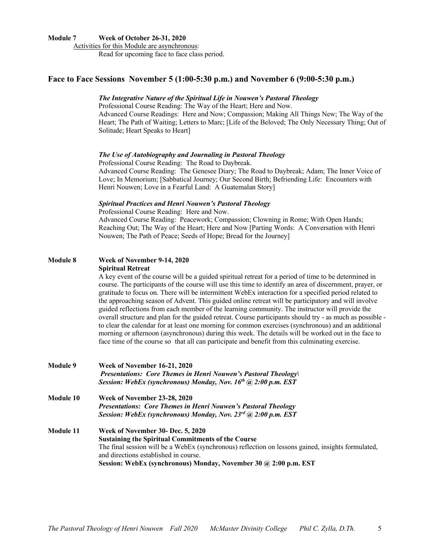#### **Module 7 Week of October 26-31, 2020**

Activities for this Module are asynchronous: Read for upcoming face to face class period.

# **Face to Face Sessions November 5 (1:00-5:30 p.m.) and November 6 (9:00-5:30 p.m.)**

#### *The Integrative Nature of the Spiritual Life in Nouwen's Pastoral Theology*

Professional Course Reading: The Way of the Heart; Here and Now. Advanced Course Readings: Here and Now; Compassion; Making All Things New; The Way of the Heart; The Path of Waiting; Letters to Marc; [Life of the Beloved; The Only Necessary Thing; Out of Solitude; Heart Speaks to Heart]

#### *The Use of Autobiography and Journaling in Pastoral Theology*

Professional Course Reading: The Road to Daybreak. Advanced Course Reading: The Genesee Diary; The Road to Daybreak; Adam; The Inner Voice of Love; In Memorium; [Sabbatical Journey; Our Second Birth; Befriending Life: Encounters with Henri Nouwen; Love in a Fearful Land: A Guatemalan Story]

#### *Spiritual Practices and Henri Nouwen's Pastoral Theology*

Professional Course Reading: Here and Now.

Advanced Course Reading: Peacework; Compassion; Clowning in Rome; With Open Hands; Reaching Out; The Way of the Heart; Here and Now [Parting Words: A Conversation with Henri Nouwen; The Path of Peace; Seeds of Hope; Bread for the Journey]

#### **Module 8 Week of November 9-14, 2020 Spiritual Retreat**

A key event of the course will be a guided spiritual retreat for a period of time to be determined in course. The participants of the course will use this time to identify an area of discernment, prayer, or gratitude to focus on. There will be intermittent WebEx interaction for a specified period related to the approaching season of Advent. This guided online retreat will be participatory and will involve guided reflections from each member of the learning community. The instructor will provide the overall structure and plan for the guided retreat. Course participants should try - as much as possible to clear the calendar for at least one morning for common exercises (synchronous) and an additional morning or afternoon (asynchronous) during this week. The details will be worked out in the face to face time of the course so that all can participate and benefit from this culminating exercise.

| <b>Module 9</b> | <b>Week of November 16-21, 2020</b><br><b>Presentations: Core Themes in Henri Nouwen's Pastoral Theology</b><br>Session: WebEx (synchronous) Monday, Nov. 16th @ 2:00 p.m. EST                                                                                                                                    |  |  |  |  |
|-----------------|-------------------------------------------------------------------------------------------------------------------------------------------------------------------------------------------------------------------------------------------------------------------------------------------------------------------|--|--|--|--|
| Module 10       | <b>Week of November 23-28, 2020</b><br><b>Presentations: Core Themes in Henri Nouwen's Pastoral Theology</b><br>Session: WebEx (synchronous) Monday, Nov. $23^{rd}$ (a) $2:00$ p.m. EST                                                                                                                           |  |  |  |  |
| Module 11       | Week of November 30- Dec. 5, 2020<br><b>Sustaining the Spiritual Commitments of the Course</b><br>The final session will be a WebEx (synchronous) reflection on lessons gained, insights formulated,<br>and directions established in course.<br>Session: WebEx (synchronous) Monday, November 30 @ 2:00 p.m. EST |  |  |  |  |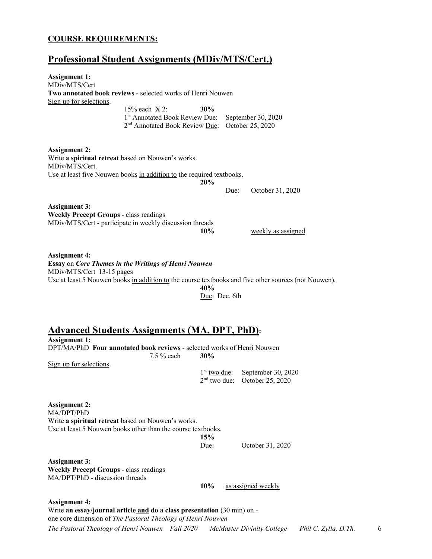# **COURSE REQUIREMENTS:**

# **Professional Student Assignments (MDiv/MTS/Cert.)**

| <b>Assignment 1:</b>                                                                                     |                                                                                                                                                   |                                         |      |                                                                                                      |
|----------------------------------------------------------------------------------------------------------|---------------------------------------------------------------------------------------------------------------------------------------------------|-----------------------------------------|------|------------------------------------------------------------------------------------------------------|
| MDiv/MTS/Cert                                                                                            |                                                                                                                                                   |                                         |      |                                                                                                      |
|                                                                                                          | Two annotated book reviews - selected works of Henri Nouwen                                                                                       |                                         |      |                                                                                                      |
| Sign up for selections.                                                                                  | $15\%$ each $X$ 2:<br>1st Annotated Book Review Due:<br>2 <sup>nd</sup> Annotated Book Review Due:                                                | 30%                                     |      | September 30, 2020<br>October 25, 2020                                                               |
| <b>Assignment 2:</b><br>MDiv/MTS/Cert.                                                                   | Write a spiritual retreat based on Nouwen's works.<br>Use at least five Nouwen books in addition to the required textbooks.                       | 20%                                     | Due: | October 31, 2020                                                                                     |
| <b>Assignment 3:</b><br><b>Weekly Precept Groups - class readings</b>                                    | MDiv/MTS/Cert - participate in weekly discussion threads                                                                                          | 10%                                     |      | weekly as assigned                                                                                   |
| <b>Assignment 4:</b><br>MDiv/MTS/Cert 13-15 pages                                                        | Essay on Core Themes in the Writings of Henri Nouwen                                                                                              | 40%<br>Due: Dec. 6th                    |      | Use at least 5 Nouwen books in addition to the course textbooks and five other sources (not Nouwen). |
| <b>Assignment 1:</b><br>Sign up for selections.                                                          | <b>Advanced Students Assignments (MA, DPT, PhD):</b><br>DPT/MA/PhD Four annotated book reviews - selected works of Henri Nouwen<br>7.5 % each     | 30%<br>$1st$ two due:<br>$2nd$ two due: |      | September 30, 2020<br>October 25, 2020                                                               |
| <b>Assignment 2:</b><br>MA/DPT/PhD                                                                       | Write a spiritual retreat based on Nouwen's works.<br>Use at least 5 Nouwen books other than the course textbooks.                                | 15%<br>Due:                             |      | October 31, 2020                                                                                     |
| <b>Assignment 3:</b><br><b>Weekly Precept Groups - class readings</b><br>MA/DPT/PhD - discussion threads |                                                                                                                                                   | 10%                                     |      | as assigned weekly                                                                                   |
| <b>Assignment 4:</b>                                                                                     | Write an essay/journal article and do a class presentation $(30 \text{ min})$ on -<br>one core dimension of The Pastoral Theology of Henri Nouwen |                                         |      |                                                                                                      |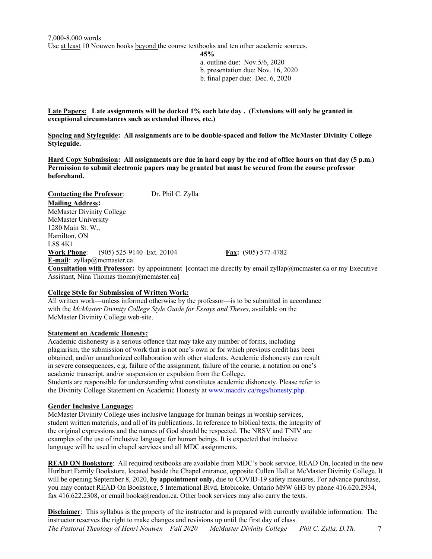**45%** a. outline due: Nov.5/6, 2020

b. presentation due: Nov. 16, 2020

b. final paper due: Dec. 6, 2020

**Late Papers: Late assignments will be docked 1% each late day . (Extensions will only be granted in exceptional circumstances such as extended illness, etc.)**

**Spacing and Styleguide: All assignments are to be double-spaced and follow the McMaster Divinity College Styleguide.**

**Hard Copy Submission: All assignments are due in hard copy by the end of office hours on that day (5 p.m.) Permission to submit electronic papers may be granted but must be secured from the course professor beforehand.**

**Contacting the Professor**: Dr. Phil C. Zylla **Mailing Address:** McMaster Divinity College McMaster University 1280 Main St. W., Hamilton, ON L8S 4K1 **Work Phone**: (905) 525-9140 Ext. 20104 **Fax:** (905) 577-4782 **E-mail**: zyllap@mcmaster.ca **Consultation with Professor:** by appointment [contact me directly by email zyllap@mcmaster.ca or my Executive Assistant, Nina Thomas thomn@mcmaster.ca]

# **College Style for Submission of Written Work:**

All written work—unless informed otherwise by the professor—is to be submitted in accordance with the *McMaster Divinity College Style Guide for Essays and Theses*, available on the McMaster Divinity College web-site.

# **Statement on Academic Honesty:**

Academic dishonesty is a serious offence that may take any number of forms, including plagiarism, the submission of work that is not one's own or for which previous credit has been obtained, and/or unauthorized collaboration with other students. Academic dishonesty can result in severe consequences, e.g. failure of the assignment, failure of the course, a notation on one's academic transcript, and/or suspension or expulsion from the College. Students are responsible for understanding what constitutes academic dishonesty. Please refer to the Divinity College Statement on Academic Honesty at www.macdiv.ca/regs/honesty.php.

# **Gender Inclusive Language:**

McMaster Divinity College uses inclusive language for human beings in worship services, student written materials, and all of its publications. In reference to biblical texts, the integrity of the original expressions and the names of God should be respected. The NRSV and TNIV are examples of the use of inclusive language for human beings. It is expected that inclusive language will be used in chapel services and all MDC assignments.

**READ ON Bookstore**: All required textbooks are available from MDC's book service, READ On, located in the new Hurlburt Family Bookstore, located beside the Chapel entrance, opposite Cullen Hall at McMaster Divinity College. It will be opening September 8, 2020, **by appointment only,** due to COVID-19 safety measures. For advance purchase, you may contact READ On Bookstore, 5 International Blvd, Etobicoke, Ontario M9W 6H3 by phone 416.620.2934, fax 416.622.2308, or email books@readon.ca. Other book services may also carry the texts.

*The Pastoral Theology of Henri Nouwen Fall 2020 McMaster Divinity College Phil C. Zylla, D.Th.* 7 **Disclaimer**: This syllabus is the property of the instructor and is prepared with currently available information. The instructor reserves the right to make changes and revisions up until the first day of class.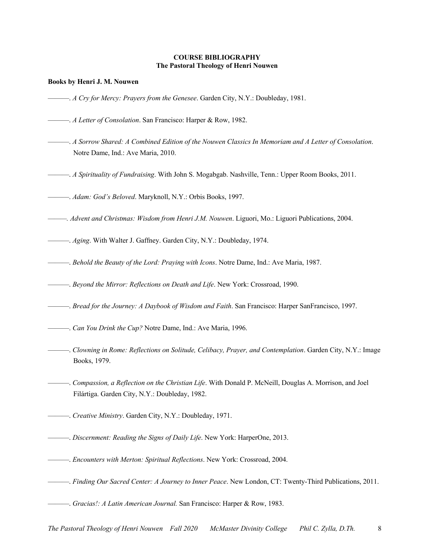#### **COURSE BIBLIOGRAPHY The Pastoral Theology of Henri Nouwen**

#### **Books by Henri J. M. Nouwen**

- ———. *A Cry for Mercy: Prayers from the Genesee*. Garden City, N.Y.: Doubleday, 1981.
- ———. *A Letter of Consolation*. San Francisco: Harper & Row, 1982.
- ———. *A Sorrow Shared: A Combined Edition of the Nouwen Classics In Memoriam and A Letter of Consolation*. Notre Dame, Ind.: Ave Maria, 2010.
- ———. *A Spirituality of Fundraising*. With John S. Mogabgab. Nashville, Tenn.: Upper Room Books, 2011.
- ———. *Adam: God's Beloved*. Maryknoll, N.Y.: Orbis Books, 1997.
- *———. Advent and Christmas: Wisdom from Henri J.M. Nouwen*. Liguori, Mo.: Liguori Publications, 2004.
- ———. *Aging*. With Walter J. Gaffney. Garden City, N.Y.: Doubleday, 1974.
- ———. *Behold the Beauty of the Lord: Praying with Icons*. Notre Dame, Ind.: Ave Maria, 1987.
- ———. *Beyond the Mirror: Reflections on Death and Life*. New York: Crossroad, 1990.
- ———. *Bread for the Journey: A Daybook of Wisdom and Faith*. San Francisco: Harper SanFrancisco, 1997.
- ———. *Can You Drink the Cup?* Notre Dame, Ind.: Ave Maria, 1996.
- ———. *Clowning in Rome: Reflections on Solitude, Celibacy, Prayer, and Contemplation*. Garden City, N.Y.: Image Books, 1979.
- ———. *Compassion, a Reflection on the Christian Life*. With Donald P. McNeill, Douglas A. Morrison, and Joel Filártiga. Garden City, N.Y.: Doubleday, 1982.
- ———. *Creative Ministry*. Garden City, N.Y.: Doubleday, 1971.
- ———. *Discernment: Reading the Signs of Daily Life*. New York: HarperOne, 2013.
- ———. *Encounters with Merton: Spiritual Reflections*. New York: Crossroad, 2004.
- ———. *Finding Our Sacred Center: A Journey to Inner Peace*. New London, CT: Twenty-Third Publications, 2011.
- ———. *Gracias!: A Latin American Journal.* San Francisco: Harper & Row, 1983.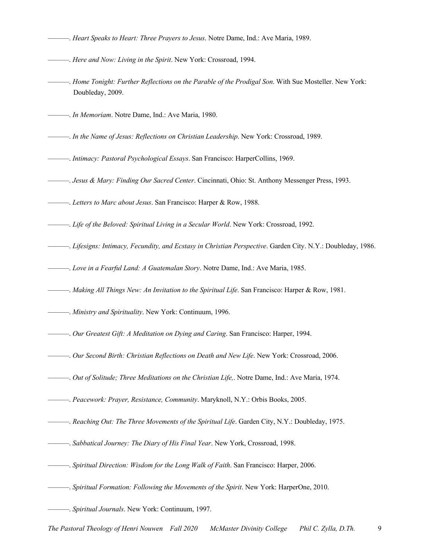- ———. *Heart Speaks to Heart: Three Prayers to Jesus*. Notre Dame, Ind.: Ave Maria, 1989.
- ———. *Here and Now: Living in the Spirit*. New York: Crossroad, 1994.
- ———. *Home Tonight: Further Reflections on the Parable of the Prodigal Son*. With Sue Mosteller. New York: Doubleday, 2009.
- ———. *In Memoriam*. Notre Dame, Ind.: Ave Maria, 1980.
- ———. *In the Name of Jesus: Reflections on Christian Leadership*. New York: Crossroad, 1989.
- ———. *Intimacy: Pastoral Psychological Essays*. San Francisco: HarperCollins, 1969.
- ———. *Jesus & Mary: Finding Our Sacred Center*. Cincinnati, Ohio: St. Anthony Messenger Press, 1993.
- ———. *Letters to Marc about Jesus*. San Francisco: Harper & Row, 1988.
- ———. *Life of the Beloved: Spiritual Living in a Secular World*. New York: Crossroad, 1992.
- ———. *Lifesigns: Intimacy, Fecundity, and Ecstasy in Christian Perspective*. Garden City. N.Y.: Doubleday, 1986.
- ———. *Love in a Fearful Land: A Guatemalan Story*. Notre Dame, Ind.: Ave Maria, 1985.
- ———. *Making All Things New: An Invitation to the Spiritual Life*. San Francisco: Harper & Row, 1981.
- ———. *Ministry and Spirituality*. New York: Continuum, 1996.
- ———. *Our Greatest Gift: A Meditation on Dying and Caring*. San Francisco: Harper, 1994.
- ———. *Our Second Birth: Christian Reflections on Death and New Life*. New York: Crossroad, 2006.
- ———. *Out of Solitude; Three Meditations on the Christian Life,*. Notre Dame, Ind.: Ave Maria, 1974.
- ———. *Peacework: Prayer, Resistance, Community*. Maryknoll, N.Y.: Orbis Books, 2005.
- ———. *Reaching Out: The Three Movements of the Spiritual Life*. Garden City, N.Y.: Doubleday, 1975.
- ———. *Sabbatical Journey: The Diary of His Final Year*. New York, Crossroad, 1998.
- ———. *Spiritual Direction: Wisdom for the Long Walk of Faith*. San Francisco: Harper, 2006.
- ———. *Spiritual Formation: Following the Movements of the Spirit*. New York: HarperOne, 2010.
- ———. *Spiritual Journals*. New York: Continuum, 1997.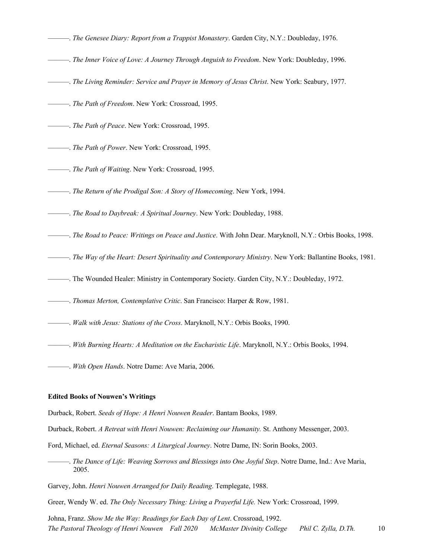- ———. *The Genesee Diary: Report from a Trappist Monastery*. Garden City, N.Y.: Doubleday, 1976.
- ———. *The Inner Voice of Love: A Journey Through Anguish to Freedom*. New York: Doubleday, 1996.
- ———. *The Living Reminder: Service and Prayer in Memory of Jesus Christ*. New York: Seabury, 1977.
- ———. *The Path of Freedom*. New York: Crossroad, 1995.
- ———. *The Path of Peace*. New York: Crossroad, 1995.
- ———. *The Path of Power*. New York: Crossroad, 1995.
- ———. *The Path of Waiting*. New York: Crossroad, 1995.
- ———. *The Return of the Prodigal Son: A Story of Homecoming*. New York, 1994.
- ———. *The Road to Daybreak: A Spiritual Journey*. New York: Doubleday, 1988.
- ———. *The Road to Peace: Writings on Peace and Justice*. With John Dear. Maryknoll, N.Y.: Orbis Books, 1998.
- ———. *The Way of the Heart: Desert Spirituality and Contemporary Ministry*. New York: Ballantine Books, 1981.
- ———. The Wounded Healer: Ministry in Contemporary Society. Garden City, N.Y.: Doubleday, 1972.
- ———. *Thomas Merton, Contemplative Critic*. San Francisco: Harper & Row, 1981.
- ———. *Walk with Jesus: Stations of the Cross*. Maryknoll, N.Y.: Orbis Books, 1990.
- ———. *With Burning Hearts: A Meditation on the Eucharistic Life*. Maryknoll, N.Y.: Orbis Books, 1994.
- ———. *With Open Hands*. Notre Dame: Ave Maria, 2006.

#### **Edited Books of Nouwen's Writings**

Durback, Robert. *Seeds of Hope: A Henri Nouwen Reader*. Bantam Books, 1989.

Durback, Robert. *A Retreat with Henri Nouwen: Reclaiming our Humanity.* St. Anthony Messenger, 2003.

- Ford, Michael, ed. *Eternal Seasons: A Liturgical Journey*. Notre Dame, IN: Sorin Books, 2003.
- ———. *The Dance of Life: Weaving Sorrows and Blessings into One Joyful Step*. Notre Dame, Ind.: Ave Maria, 2005.
- Garvey, John. *Henri Nouwen Arranged for Daily Reading*. Templegate, 1988.
- Greer, Wendy W. ed. *The Only Necessary Thing: Living a Prayerful Life.* New York: Crossroad, 1999.

*The Pastoral Theology of Henri Nouwen Fall 2020 McMaster Divinity College Phil C. Zylla, D.Th.* 10 Johna, Franz. *Show Me the Way: Readings for Each Day of Lent*. Crossroad, 1992.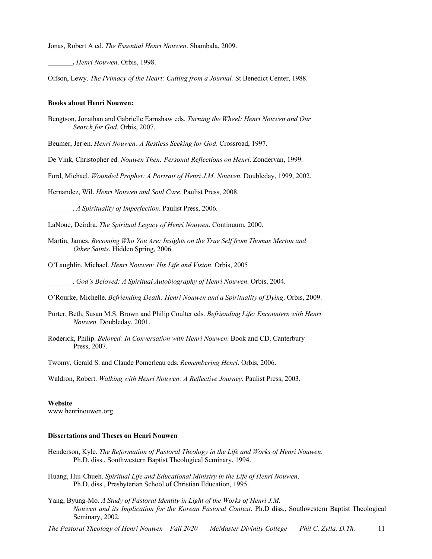Jonas, Robert A ed. *The Essential Henri Nouwen*. Shambala, 2009.

**\_\_\_\_\_\_\_.** *Henri Nouwen*. Orbis, 1998.

Olfson, Lewy. *The Primacy of the Heart: Cutting from a Journal.* St Benedict Center, 1988.

#### **Books about Henri Nouwen:**

Bengtson, Jonathan and Gabrielle Earnshaw eds. *Turning the Wheel: Henri Nouwen and Our Search for God*. Orbis, 2007.

Beumer, Jerjen. *Henri Nouwen: A Restless Seeking for God*. Crossroad, 1997.

De Vink, Christopher ed. *Nouwen Then: Personal Reflections on Henri*. Zondervan, 1999.

Ford, Michael. *Wounded Prophet: A Portrait of Henri J.M. Nouwen*. Doubleday, 1999, 2002.

Hernandez, Wil. *Henri Nouwen and Soul Care*. Paulist Press, 2008.

\_\_\_\_\_\_\_. *A Spirituality of Imperfection*. Paulist Press, 2006.

- LaNoue, Deirdra. *The Spiritual Legacy of Henri Nouwen*. Continuum, 2000.
- Martin, James. *Becoming Who You Are: Insights on the True Self from Thomas Merton and Other Saints*. Hidden Spring, 2006.
- O'Laughlin, Michael. *Henri Nouwen: His Life and Vision*. Orbis, 2005

\_\_\_\_\_\_\_. *God's Beloved: A Spiritual Autobiography of Henri Nouwen*. Orbis, 2004.

O'Rourke, Michelle. *Befriending Death: Henri Nouwen and a Spirituality of Dying*. Orbis, 2009.

- Porter, Beth, Susan M.S. Brown and Philip Coulter eds. *Befriending Life: Encounters with Henri Nouwen.* Doubleday, 2001.
- Roderick, Philip. *Beloved: In Conversation with Henri Nouwen*. Book and CD. Canterbury Press, 2007.

Twomy, Gerald S. and Claude Pomerleau eds. *Remembering Henri*. Orbis, 2006.

Waldron, Robert. *Walking with Henri Nouwen: A Reflective Journey*. Paulist Press, 2003.

# **Website**

www.henrinouwen.org

#### **Dissertations and Theses on Henri Nouwen**

- Henderson, Kyle. *The Reformation of Pastoral Theology in the Life and Works of Henri Nouwen*. Ph.D. diss., Southwestern Baptist Theological Seminary, 1994.
- Huang, Hui-Chueh. *Spiritual Life and Educational Ministry in the Life of Henri Nouwen*. Ph.D. diss., Presbyterian School of Christian Education, 1995.
- Yang, Byung-Mo. *A Study of Pastoral Identity in Light of the Works of Henri J.M. Nouwen and its Implication for the Korean Pastoral Context*. Ph.D diss., Southwestern Baptist Theological Seminary, 2002.